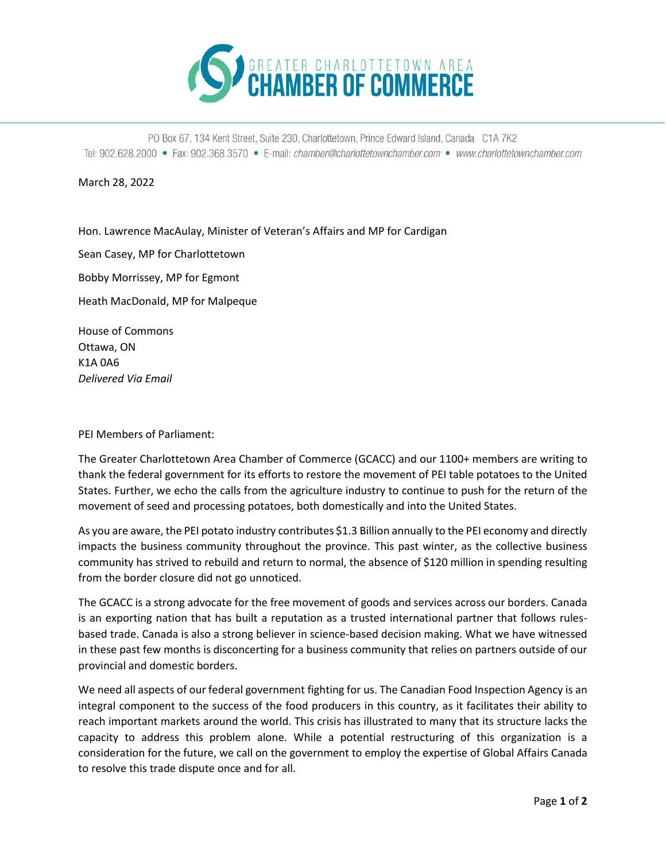

PO Box 67, 134 Kent Street, Suite 230, Charlottetown, Prince Edward Island, Canada C1A 7K2 Tel: 902.628.2000 • Fax: 902.368.3570 • E-mail: chamber@charlottetownchamber.com • www.charlottetownchamber.com

March 28, 2022

Hon. Lawrence MacAulay, Minister of Veteran's Affairs and MP for Cardigan

Sean Casey, MP for Charlottetown

Bobby Morrissey, MP for Egmont

Heath MacDonald, MP for Malpeque

House of Commons Ottawa, ON K1A 0A6 *Delivered Via Email*

PEI Members of Parliament:

The Greater Charlottetown Area Chamber of Commerce (GCACC) and our 1100+ members are writing to thank the federal government for its efforts to restore the movement of PEI table potatoes to the United States. Further, we echo the calls from the agriculture industry to continue to push for the return of the movement of seed and processing potatoes, both domestically and into the United States.

As you are aware, the PEI potato industry contributes \$1.3 Billion annually to the PEI economy and directly impacts the business community throughout the province. This past winter, as the collective business community has strived to rebuild and return to normal, the absence of \$120 million in spending resulting from the border closure did not go unnoticed.

The GCACC is a strong advocate for the free movement of goods and services across our borders. Canada is an exporting nation that has built a reputation as a trusted international partner that follows rulesbased trade. Canada is also a strong believer in science-based decision making. What we have witnessed in these past few months is disconcerting for a business community that relies on partners outside of our provincial and domestic borders.

We need all aspects of our federal government fighting for us. The Canadian Food Inspection Agency is an integral component to the success of the food producers in this country, as it facilitates their ability to reach important markets around the world. This crisis has illustrated to many that its structure lacks the capacity to address this problem alone. While a potential restructuring of this organization is a consideration for the future, we call on the government to employ the expertise of Global Affairs Canada to resolve this trade dispute once and for all.